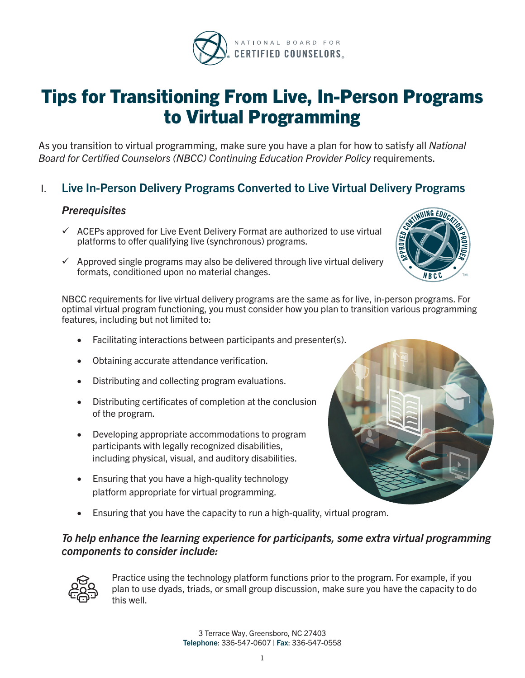

# Tips for Transitioning From Live, In-Person Programs to Virtual Programming

As you transition to virtual programming, make sure you have a plan for how to satisfy all *National Board for Certified Counselors (NBCC) Continuing Education Provider Policy* requirements.

# I. Live In-Person Delivery Programs Converted to Live Virtual Delivery Programs

# *Prerequisites*

- $\checkmark$  ACEPs approved for Live Event Delivery Format are authorized to use virtual platforms to offer qualifying live (synchronous) programs.
- $\checkmark$  Approved single programs may also be delivered through live virtual delivery formats, conditioned upon no material changes.

NBCC requirements for live virtual delivery programs are the same as for live, in-person programs. For optimal virtual program functioning, you must consider how you plan to transition various programming features, including but not limited to:

- Facilitating interactions between participants and presenter(s).
- Obtaining accurate attendance verification.
- Distributing and collecting program evaluations.
- • Distributing certificates of completion at the conclusion of the program.
- Developing appropriate accommodations to program participants with legally recognized disabilities, including physical, visual, and auditory disabilities.
- Ensuring that you have a high-quality technology platform appropriate for virtual programming.
- Ensuring that you have the capacity to run a high-quality, virtual program.



# *To help enhance the learning experience for participants, some extra virtual programming components to consider include:*



Practice using the technology platform functions prior to the program. For example, if you plan to use dyads, triads, or small group discussion, make sure you have the capacity to do this well.

> 3 Terrace Way, Greensboro, NC 27403 Telephone: 336-547-0607 | Fax: 336-547-0558

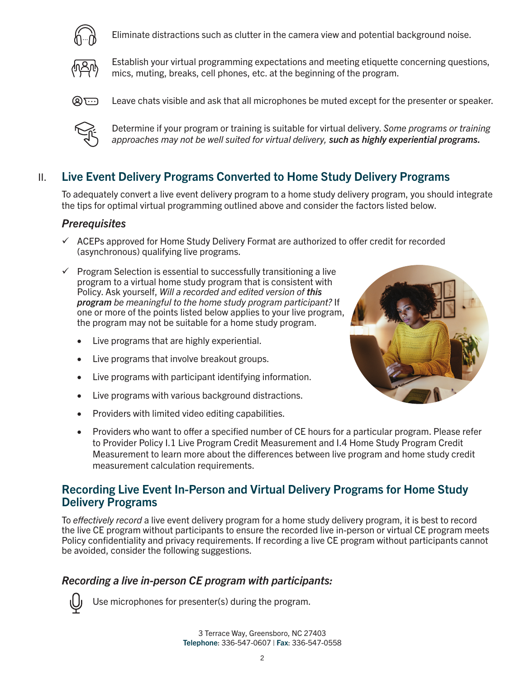

Eliminate distractions such as clutter in the camera view and potential background noise.



Establish your virtual programming expectations and meeting etiquette concerning questions, mics, muting, breaks, cell phones, etc. at the beginning of the program.



**(A)** Leave chats visible and ask that all microphones be muted except for the presenter or speaker.



Determine if your program or training is suitable for virtual delivery. *Some programs or training approaches may not be well suited for virtual delivery, such as highly experiential programs.*

# II. Live Event Delivery Programs Converted to Home Study Delivery Programs

To adequately convert a live event delivery program to a home study delivery program, you should integrate the tips for optimal virtual programming outlined above and consider the factors listed below.

### *Prerequisites*

- $\checkmark$  ACEPs approved for Home Study Delivery Format are authorized to offer credit for recorded (asynchronous) qualifying live programs.
- $\checkmark$  Program Selection is essential to successfully transitioning a live program to a virtual home study program that is consistent with Policy. Ask yourself, *Will a recorded and edited version of this program be meaningful to the home study program participant?* If one or more of the points listed below applies to your live program, the program may not be suitable for a home study program.
	- Live programs that are highly experiential.
	- Live programs that involve breakout groups.
	- Live programs with participant identifying information.
	- Live programs with various background distractions.
	- Providers with limited video editing capabilities.



Providers who want to offer a specified number of CE hours for a particular program. Please refer to Provider Policy I.1 Live Program Credit Measurement and I.4 Home Study Program Credit Measurement to learn more about the differences between live program and home study credit measurement calculation requirements.

# Recording Live Event In-Person and Virtual Delivery Programs for Home Study Delivery Programs

To *effectively record* a live event delivery program for a home study delivery program, it is best to record the live CE program without participants to ensure the recorded live in-person or virtual CE program meets Policy confidentiality and privacy requirements. If recording a live CE program without participants cannot be avoided, consider the following suggestions.

# *Recording a live in-person CE program with participants:*



Use microphones for presenter(s) during the program.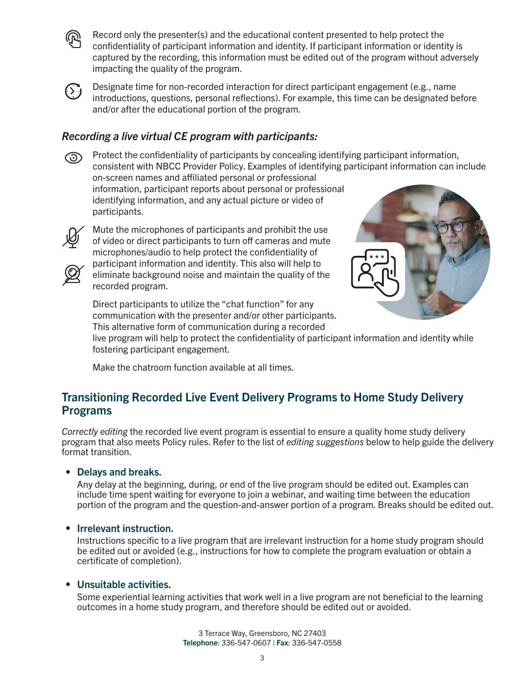

Record only the presenter(s) and the educational content presented to help protect the confidentiality of participant information and identity. If participant information or identity is captured by the recording, this information must be edited out of the program without adversely impacting the quality of the program.



 $\overline{(\cdot)}$  Designate time for non-recorded interaction for direct participant engagement (e.g., name introductions, questions, personal reflections). For example, this time can be designated before and/or after the educational portion of the program.

# *Recording a live virtual CE program with participants:*

**(** $\odot$  Protect the confidentiality of participants by concealing identifying participant information, consistent with NBCC Provider Policy. Examples of identifying participant information can include on-screen names and affiliated personal or professional information, participant reports about personal or professional identifying information, and any actual picture or video of participants.



Mute the microphones of participants and prohibit the use of video or direct participants to turn off cameras and mute microphones/audio to help protect the confidentiality of participant information and identity. This also will help to eliminate background noise and maintain the quality of the recorded program.



Direct participants to utilize the "chat function" for any communication with the presenter and/or other participants. This alternative form of communication during a recorded

live program will help to protect the confidentiality of participant information and identity while fostering participant engagement.

Make the chatroom function available at all times.

# Transitioning Recorded Live Event Delivery Programs to Home Study Delivery Programs

*Correctly editing* the recorded live event program is essential to ensure a quality home study delivery program that also meets Policy rules. Refer to the list of *editing suggestions* below to help guide the delivery format transition.

#### Delays and breaks.

Any delay at the beginning, during, or end of the live program should be edited out. Examples can include time spent waiting for everyone to join a webinar, and waiting time between the education portion of the program and the question-and-answer portion of a program. Breaks should be edited out.

### • Irrelevant instruction.

Instructions specific to a live program that are irrelevant instruction for a home study program should be edited out or avoided (e.g., instructions for how to complete the program evaluation or obtain a certificate of completion).

### Unsuitable activities.

Some experiential learning activities that work well in a live program are not beneficial to the learning outcomes in a home study program, and therefore should be edited out or avoided.